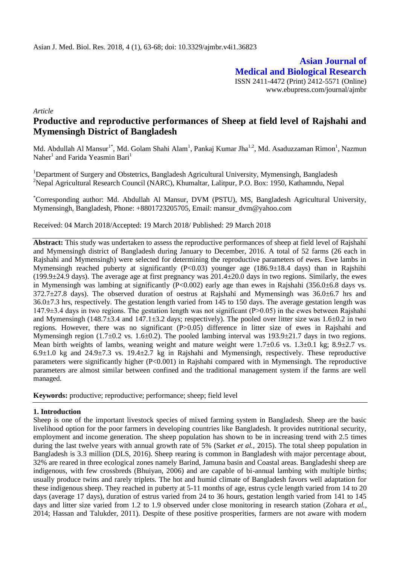**Asian Journal of Medical and Biological Research** ISSN 2411-4472 (Print) 2412-5571 (Online) www.ebupress.com/journal/ajmbr

*Article*

# **Productive and reproductive performances of Sheep at field level of Rajshahi and Mymensingh District of Bangladesh**

Md. Abdullah Al Mansur<sup>1\*</sup>, Md. Golam Shahi Alam<sup>1</sup>, Pankaj Kumar Jha<sup>1,2</sup>, Md. Asaduzzaman Rimon<sup>1</sup>, Nazmun Naher<sup>1</sup> and Farida Yeasmin Bari<sup>1</sup>

<sup>1</sup>Department of Surgery and Obstetrics, Bangladesh Agricultural University, Mymensingh, Bangladesh <sup>2</sup>Nepal Agricultural Research Council (NARC), Khumaltar, Lalitpur, P.O. Box: 1950, Kathamndu, Nepal

\*Corresponding author: Md. Abdullah Al Mansur, DVM (PSTU), MS, Bangladesh Agricultural University, Mymensingh, Bangladesh, Phone: +8801723205705, Email: mansur\_dvm@yahoo.com

Received: 04 March 2018/Accepted: 19 March 2018/ Published: 29 March 2018

**Abstract:** This study was undertaken to assess the reproductive performances of sheep at field level of Rajshahi and Mymensingh district of Bangladesh during January to December, 2016. A total of 52 farms (26 each in Rajshahi and Mymensingh) were selected for determining the reproductive parameters of ewes. Ewe lambs in Mymensingh reached puberty at significantly (P<0.03) younger age (186.9±18.4 days) than in Rajshihi  $(199.9±24.9$  days). The average age at first pregnancy was  $201.4±20.0$  days in two regions. Similarly, the ewes in Mymensingh was lambing at significantly (P<0.002) early age than ewes in Rajshahi (356.0 $\pm$ 6.8 days vs.  $372.7\pm 27.8$  days). The observed duration of oestrus at Raishahi and Mymensingh was  $36.0\pm 6.7$  hrs and 36.0±7.3 hrs, respectively. The gestation length varied from 145 to 150 days. The average gestation length was 147.9±3.4 days in two regions. The gestation length was not significant (P˃0.05) in the ewes between Rajshahi and Mymensingh (148.7±3.4 and 147.1±3.2 days; respectively). The pooled over litter size was 1.6±0.2 in two regions. However, there was no significant (P>0.05) difference in litter size of ewes in Rajshahi and Mymensingh region (1.7 $\pm$ 0.2 vs. 1.6 $\pm$ 0.2). The pooled lambing interval was 193.9 $\pm$ 21.7 days in two regions. Mean birth weights of lambs, weaning weight and mature weight were  $1.7\pm0.6$  vs.  $1.3\pm0.1$  kg;  $8.9\pm2.7$  vs. 6.9 $\pm$ 1.0 kg and 24.9 $\pm$ 7.3 vs. 19.4 $\pm$ 2.7 kg in Rajshahi and Mymensingh, respectively. These reproductive parameters were significantly higher (P<0.001) in Rajshahi compared with in Mymensingh. The reproductive parameters are almost similar between confined and the traditional management system if the farms are well managed.

**Keywords:** productive; reproductive; performance; sheep; field level

### **1. Introduction**

Sheep is one of the important livestock species of mixed farming system in Bangladesh. Sheep are the basic livelihood option for the poor farmers in developing countries like Bangladesh. It provides nutritional security, employment and income generation. The sheep population has shown to be in increasing trend with 2.5 times during the last twelve years with annual growth rate of 5% (Sarket *et al.,* 2015). The total sheep population in Bangladesh is 3.3 million (DLS, 2016). Sheep rearing is common in Bangladesh with major percentage about, 32% are reared in three ecological zones namely Barind, Jamuna basin and Coastal areas. Bangladeshi sheep are indigenous, with few crossbreds (Bhuiyan, 2006) and are capable of bi-annual lambing with multiple births; usually produce twins and rarely triplets. The hot and humid climate of Bangladesh favors well adaptation for these indigenous sheep. They reached in puberty at 5-11 months of age, estrus cycle length varied from 14 to 20 days (average 17 days), duration of estrus varied from 24 to 36 hours, gestation length varied from 141 to 145 days and litter size varied from 1.2 to 1.9 observed under close monitoring in research station (Zohara *et al.,* 2014; Hassan and Talukder, 2011). Despite of these positive prosperities, farmers are not aware with modern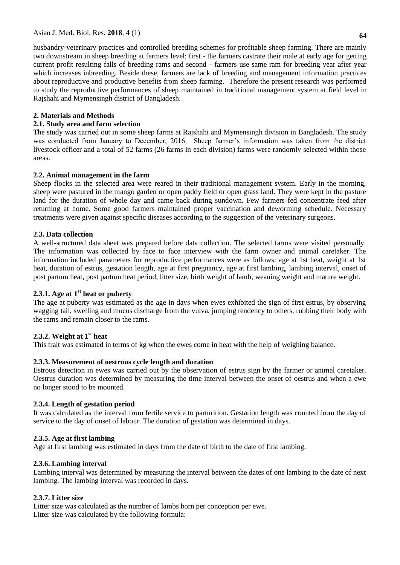husbandry-veterinary practices and controlled breeding schemes for profitable sheep farming. There are mainly two downstream in sheep breeding at farmers level; first - the farmers castrate their male at early age for getting current profit resulting falls of breeding rams and second - farmers use same ram for breeding year after year which increases inbreeding. Beside these, farmers are lack of breeding and management information practices about reproductive and productive benefits from sheep farming. Therefore the present research was performed to study the reproductive performances of sheep maintained in traditional management system at field level in Rajshahi and Mymensingh district of Bangladesh.

## **2. Materials and Methods**

### **2.1. Study area and farm selection**

The study was carried out in some sheep farms at Rajshahi and Mymensingh division in Bangladesh. The study was conducted from January to December, 2016. Sheep farmer's information was taken from the district livestock officer and a total of 52 farms (26 farms in each division) farms were randomly selected within those areas.

## **2.2. Animal management in the farm**

Sheep flocks in the selected area were reared in their traditional management system. Early in the morning, sheep were pastured in the mango garden or open paddy field or open grass land. They were kept in the pasture land for the duration of whole day and came back during sundown. Few farmers fed concentrate feed after returning at home. Some good farmers maintained proper vaccination and deworming schedule. Necessary treatments were given against specific diseases according to the suggestion of the veterinary surgeons.

## **2.3. Data collection**

A well-structured data sheet was prepared before data collection. The selected farms were visited personally. The information was collected by face to face interview with the farm owner and animal caretaker. The information included parameters for reproductive performances were as follows: age at 1st heat, weight at 1st heat, duration of estrus, gestation length, age at first pregnancy, age at first lambing, lambing interval, onset of post partum heat, post partum heat period, litter size, birth weight of lamb, weaning weight and mature weight.

# **2.3.1. Age at 1st heat or puberty**

The age at puberty was estimated as the age in days when ewes exhibited the sign of first estrus, by observing wagging tail, swelling and mucus discharge from the vulva, jumping tendency to others, rubbing their body with the rams and remain closer to the rams.

### **2.3.2. Weight at 1st heat**

This trait was estimated in terms of kg when the ewes come in heat with the help of weighing balance.

# **2.3.3. Measurement of oestrous cycle length and duration**

Estrous detection in ewes was carried out by the observation of estrus sign by the farmer or animal caretaker. Oestrus duration was determined by measuring the time interval between the onset of oestrus and when a ewe no longer stood to be mounted.

### **2.3.4. Length of gestation period**

It was calculated as the interval from fertile service to parturition. Gestation length was counted from the day of service to the day of onset of labour. The duration of gestation was determined in days.

### **2.3.5. Age at first lambing**

Age at first lambing was estimated in days from the date of birth to the date of first lambing.

### **2.3.6. Lambing interval**

Lambing interval was determined by measuring the interval between the dates of one lambing to the date of next lambing. The lambing interval was recorded in days.

# **2.3.7. Litter size**

Litter size was calculated as the number of lambs born per conception per ewe. Litter size was calculated by the following formula: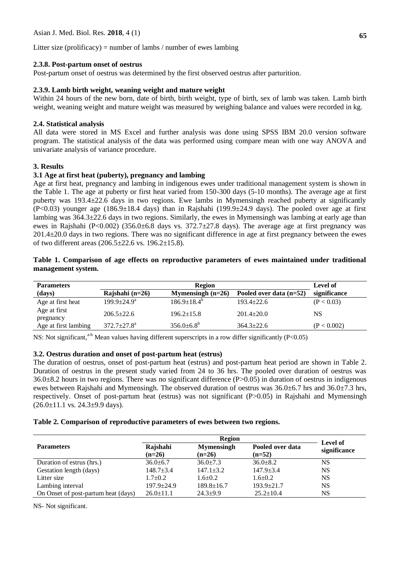#### **2.3.8. Post-partum onset of oestrus**

Post-partum onset of oestrus was determined by the first observed oestrus after parturition.

#### **2.3.9. Lamb birth weight, weaning weight and mature weight**

Within 24 hours of the new born, date of birth, birth weight, type of birth, sex of lamb was taken. Lamb birth weight, weaning weight and mature weight was measured by weighing balance and values were recorded in kg.

#### **2.4. Statistical analysis**

All data were stored in MS Excel and further analysis was done using SPSS IBM 20.0 version software program. The statistical analysis of the data was performed using compare mean with one way ANOVA and univariate analysis of variance procedure.

#### **3. Results**

## **3.1 Age at first heat (puberty), pregnancy and lambing**

Age at first heat, pregnancy and lambing in indigenous ewes under traditional management system is shown in the Table 1. The age at puberty or first heat varied from 150-300 days (5-10 months). The average age at first puberty was 193.4±22.6 days in two regions. Ewe lambs in Mymensingh reached puberty at significantly  $(P<0.03)$  younger age  $(186.9\pm18.4$  days) than in Rajshahi  $(199.9\pm24.9$  days). The pooled over age at first lambing was 364.3±22.6 days in two regions. Similarly, the ewes in Mymensingh was lambing at early age than ewes in Rajshahi (P<0.002) (356.0 $\pm$ 6.8 days vs. 372.7 $\pm$ 27.8 days). The average age at first pregnancy was 201.4±20.0 days in two regions. There was no significant difference in age at first pregnancy between the ewes of two different areas (206.5±22.6 vs. 196.2±15.8).

#### **Table 1. Comparison of age effects on reproductive parameters of ewes maintained under traditional management system.**

| <b>Parameters</b>         | <b>Region</b>     |                     |                           | <b>Level of</b> |
|---------------------------|-------------------|---------------------|---------------------------|-----------------|
| (days)                    | Rajshahi $(n=26)$ | Mymensingh $(n=26)$ | Pooled over data $(n=52)$ | significance    |
| Age at first heat         | $199.9 + 24.9^a$  | $186.9 \pm 18.4^b$  | $193.4+22.6$              | (P < 0.03)      |
| Age at first<br>pregnancy | $206.5+22.6$      | $196.2 \pm 15.8$    | $201.4 \pm 20.0$          | <b>NS</b>       |
| Age at first lambing      | $372.7+27.8^a$    | $356.0\pm6.8^b$     | $364.3 + 22.6$            | (P < 0.002)     |

NS: Not significant,<sup>a-b</sup> Mean values having different superscripts in a row differ significantly (P<0.05)

### **3.2. Oestrus duration and onset of post-partum heat (estrus)**

The duration of oestrus, onset of post-partum heat (estrus) and post-partum heat period are shown in Table 2. Duration of oestrus in the present study varied from 24 to 36 hrs. The pooled over duration of oestrus was  $36.0\pm8.2$  hours in two regions. There was no significant difference (P $>0.05$ ) in duration of oestrus in indigenous ewes between Rajshahi and Mymensingh. The observed duration of oestrus was  $36.0\pm6.7$  hrs and  $36.0\pm7.3$  hrs, respectively. Onset of post-partum heat (estrus) was not significant (P˃0.05) in Rajshahi and Mymensingh  $(26.0 \pm 11.1 \text{ vs. } 24.3 \pm 9.9 \text{ days}).$ 

#### **Table 2. Comparison of reproductive parameters of ewes between two regions.**

|                                     |                      | Level of                      |                              |              |
|-------------------------------------|----------------------|-------------------------------|------------------------------|--------------|
| <b>Parameters</b>                   | Rajshahi<br>$(n=26)$ | <b>Mymensingh</b><br>$(n=26)$ | Pooled over data<br>$(n=52)$ | significance |
| Duration of estrus (hrs.)           | $36.0 + 6.7$         | $36.0 \pm 7.3$                | $36.0 + 8.2$                 | <b>NS</b>    |
| Gestation length (days)             | $148.7 \pm 3.4$      | $147.1 \pm 3.2$               | $147.9 \pm 3.4$              | <b>NS</b>    |
| Litter size                         | $1.7+0.2$            | $1.6 \pm 0.2$                 | $1.6 \pm 0.2$                | <b>NS</b>    |
| Lambing interval                    | $197.9 \pm 24.9$     | $189.8 \pm 16.7$              | $193.9 \pm 21.7$             | <b>NS</b>    |
| On Onset of post-partum heat (days) | $26.0 \pm 11.1$      | $24.3 + 9.9$                  | $25.2 \pm 10.4$              | <b>NS</b>    |

NS- Not significant.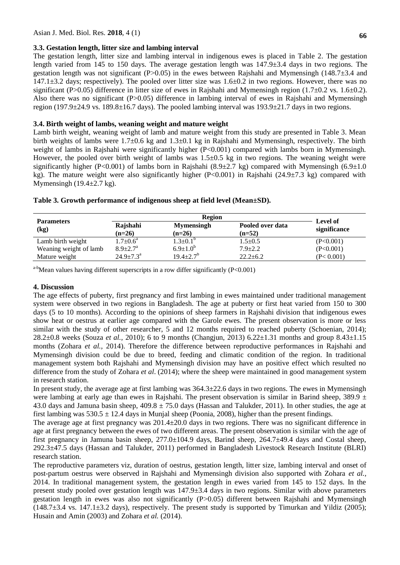#### **3.3. Gestation length, litter size and lambing interval**

The gestation length, litter size and lambing interval in indigenous ewes is placed in Table 2. The gestation length varied from 145 to 150 days. The average gestation length was 147.9±3.4 days in two regions. The gestation length was not significant (P $>0.05$ ) in the ewes between Rajshahi and Mymensingh (148.7 $\pm$ 3.4 and  $147.1\pm3.2$  days; respectively). The pooled over litter size was  $1.6\pm0.2$  in two regions. However, there was no significant (P>0.05) difference in litter size of ewes in Rajshahi and Mymensingh region (1.7 $\pm$ 0.2 vs. 1.6 $\pm$ 0.2). Also there was no significant (P>0.05) difference in lambing interval of ewes in Rajshahi and Mymensingh region (197.9 $\pm$ 24.9 vs. 189.8 $\pm$ 16.7 days). The pooled lambing interval was 193.9 $\pm$ 21.7 days in two regions.

## **3.4. Birth weight of lambs, weaning weight and mature weight**

Lamb birth weight, weaning weight of lamb and mature weight from this study are presented in Table 3. Mean birth weights of lambs were  $1.7\pm0.6$  kg and  $1.3\pm0.1$  kg in Rajshahi and Mymensingh, respectively. The birth weight of lambs in Rajshahi were significantly higher (P<0.001) compared with lambs born in Mymensingh. However, the pooled over birth weight of lambs was  $1.5\pm0.5$  kg in two regions. The weaning weight were significantly higher (P<0.001) of lambs born in Rajshahi (8.9 $\pm$ 2.7 kg) compared with Mymensingh (6.9 $\pm$ 1.0 kg). The mature weight were also significantly higher (P<0.001) in Rajshahi (24.9±7.3 kg) compared with Mymensingh (19.4 $\pm$ 2.7 kg).

|                           | <b>Region</b>             |                               |                              |                          |
|---------------------------|---------------------------|-------------------------------|------------------------------|--------------------------|
| <b>Parameters</b><br>(kg) | Rajshahi<br>$(n=26)$      | <b>Mymensingh</b><br>$(n=26)$ | Pooled over data<br>$(n=52)$ | Level of<br>significance |
| Lamb birth weight         | $1.7 \pm 0.6^{\rm a}$     | $1.3 \pm 0.1^b$               | $1.5 \pm 0.5$                | (P<0.001)                |
| Weaning weight of lamb    | $8.9 + 2.7^{\circ}$       | $6.9 \pm 1.0^{b}$             | $7.9 \pm 2.2$                | (P<0.001)                |
| Mature weight             | $24.9 \pm 7.3^{\text{a}}$ | $19.4 \pm 2.7^b$              | $22.2 \pm 6.2$               | (P< 0.001)               |

|  |  |  | Table 3. Growth performance of indigenous sheep at field level (Mean±SD). |  |  |
|--|--|--|---------------------------------------------------------------------------|--|--|
|--|--|--|---------------------------------------------------------------------------|--|--|

 $a-b$ Mean values having different superscripts in a row differ significantly (P<0.001)

### **4. Discussion**

The age effects of puberty, first pregnancy and first lambing in ewes maintained under traditional management system were observed in two regions in Bangladesh. The age at puberty or first heat varied from 150 to 300 days (5 to 10 months). According to the opinions of sheep farmers in Rajshahi division that indigenous ewes show heat or oestrus at earlier age compared with the Garole ewes. The present observation is more or less similar with the study of other researcher, 5 and 12 months required to reached puberty (Schoenian, 2014); 28.2±0.8 weeks (Souza *et al.,* 2010); 6 to 9 months (Changjun, 2013) 6.22±1.31 months and group 8.43±1.15 months (Zohara *et al.,* 2014). Therefore the difference between reproductive performances in Rajshahi and Mymensingh division could be due to breed, feeding and climatic condition of the region. In traditional management system both Rajshahi and Mymensingh division may have an positive effect which resulted no difference from the study of Zohara *et al*. (2014); where the sheep were maintained in good management system in research station.

In present study, the average age at first lambing was 364.3±22.6 days in two regions. The ewes in Mymensingh were lambing at early age than ewes in Rajshahi. The present observation is similar in Barind sheep, 389.9  $\pm$ 43.0 days and Jamuna basin sheep,  $409.8 \pm 75.0$  days (Hassan and Talukder, 2011). In other studies, the age at first lambing was  $530.5 \pm 12.4$  days in Munjal sheep (Poonia, 2008), higher than the present findings.

The average age at first pregnancy was 201.4±20.0 days in two regions. There was no significant difference in age at first pregnancy between the ewes of two different areas. The present observation is similar with the age of first pregnancy in Jamuna basin sheep, 277.0±104.9 days, Barind sheep, 264.7±49.4 days and Costal sheep, 292.3±47.5 days (Hassan and Talukder, 2011) performed in Bangladesh Livestock Research Institute (BLRI) research station.

The reproductive parameters viz, duration of oestrus, gestation length, litter size, lambing interval and onset of post-partum oestrus were observed in Rajshahi and Mymensingh division also supported with Zohara *et al.,* 2014. In traditional management system, the gestation length in ewes varied from 145 to 152 days. In the present study pooled over gestation length was 147.9±3.4 days in two regions. Similar with above parameters gestation length in ewes was also not significantly (P˃0.05) different between Rajshahi and Mymensingh (148.7±3.4 vs. 147.1±3.2 days), respectively. The present study is supported by Timurkan and Yildiz (2005); Husain and Amin (2003) and Zohara *et al.* (2014).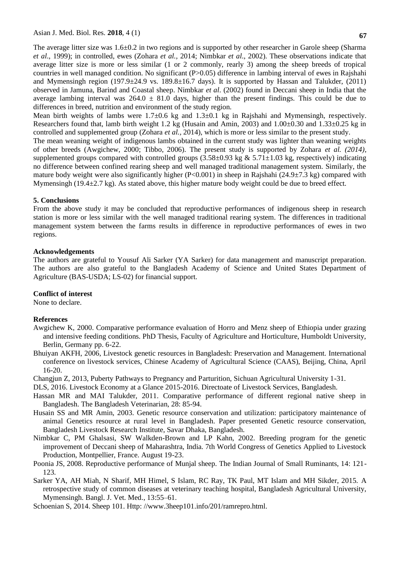The average litter size was 1.6±0.2 in two regions and is supported by other researcher in Garole sheep (Sharma *et al*., 1999); in controlled, ewes (Zohara *et al.,* 2014; Nimbkar *et al*., 2002). These observations indicate that average litter size is more or less similar (1 or 2 commonly, rearly 3) among the sheep breeds of tropical countries in well managed condition. No significant (P>0.05) difference in lambing interval of ewes in Rajshahi and Mymensingh region (197.9 $\pm$ 24.9 vs. 189.8 $\pm$ 16.7 days). It is supported by Hassan and Talukder, (2011) observed in Jamuna, Barind and Coastal sheep. Nimbkar *et al*. (2002) found in Deccani sheep in India that the average lambing interval was  $264.0 \pm 81.0$  days, higher than the present findings. This could be due to differences in breed, nutrition and environment of the study region.

Mean birth weights of lambs were  $1.7\pm0.6$  kg and  $1.3\pm0.1$  kg in Rajshahi and Mymensingh, respectively. Researchers found that, lamb birth weight 1.2 kg (Husain and Amin, 2003) and  $1.00\pm0.30$  and  $1.33\pm0.25$  kg in controlled and supplemented group (Zohara *et al.,* 2014), which is more or less similar to the present study.

The mean weaning weight of indigenous lambs obtained in the current study was lighter than weaning weights of other breeds (Awgichew, 2000; Tibbo, 2006). The present study is supported by Zohara *et al. (2014),*  supplemented groups compared with controlled groups  $(3.58\pm0.93 \text{ kg} \& 5.71\pm1.03 \text{ kg}$ , respectively) indicating no difference between confined rearing sheep and well managed traditional management system. Similarly, the mature body weight were also significantly higher  $(P<0.001)$  in sheep in Rajshahi (24.9±7.3 kg) compared with Mymensingh (19.4 $\pm$ 2.7 kg). As stated above, this higher mature body weight could be due to breed effect.

#### **5. Conclusions**

From the above study it may be concluded that reproductive performances of indigenous sheep in research station is more or less similar with the well managed traditional rearing system. The differences in traditional management system between the farms results in difference in reproductive performances of ewes in two regions.

#### **Acknowledgements**

The authors are grateful to Yousuf Ali Sarker (YA Sarker) for data management and manuscript preparation. The authors are also grateful to the Bangladesh Academy of Science and United States Department of Agriculture (BAS-USDA; LS-02) for financial support.

#### **Conflict of interest**

None to declare.

### **References**

- Awgichew K, 2000. Comparative performance evaluation of Horro and Menz sheep of Ethiopia under grazing and intensive feeding conditions. PhD Thesis, Faculty of Agriculture and Horticulture, Humboldt University, Berlin, Germany pp. 6-22.
- Bhuiyan AKFH, 2006, Livestock genetic resources in Bangladesh: Preservation and Management. International conference on livestock services, Chinese Academy of Agricultural Science (CAAS), Beijing, China, April 16-20.

Changjun Z, 2013, Puberty Pathways to Pregnancy and Parturition, Sichuan Agricultural University 1-31.

DLS, 2016. Livestock Economy at a Glance 2015-2016. Directoate of Livestock Services, Bangladesh.

- Hassan MR and MAI Talukder, 2011. Comparative performance of different regional native sheep in Bangladesh. The Bangladesh Veterinarian, 28: 85-94.
- Husain SS and MR Amin, 2003. Genetic resource conservation and utilization: participatory maintenance of animal Genetics resource at rural level in Bangladesh. Paper presented Genetic resource conservation, Bangladesh Livestock Research Institute, Savar Dhaka, Bangladesh.
- Nimbkar C, PM Ghalsasi, SW Walkden-Brown and LP Kahn, 2002. Breeding program for the genetic improvement of Deccani sheep of Maharashtra, India. 7th World Congress of Genetics Applied to Livestock Production, Montpellier, France. August 19-23.
- Poonia JS, 2008. Reproductive performance of Munjal sheep. The Indian Journal of Small Ruminants, 14: 121- 123.
- Sarker YA, AH Miah, N Sharif, MH Himel, S Islam, RC Ray, TK Paul, MT Islam and MH Sikder, 2015. A retrospective study of common diseases at veterinary teaching hospital, Bangladesh Agricultural University, Mymensingh. Bangl. J. Vet. Med., 13:55–61.

Schoenian S, 2014. Sheep 101. Http: //www.3heep101.info/201/ramrepro.html.